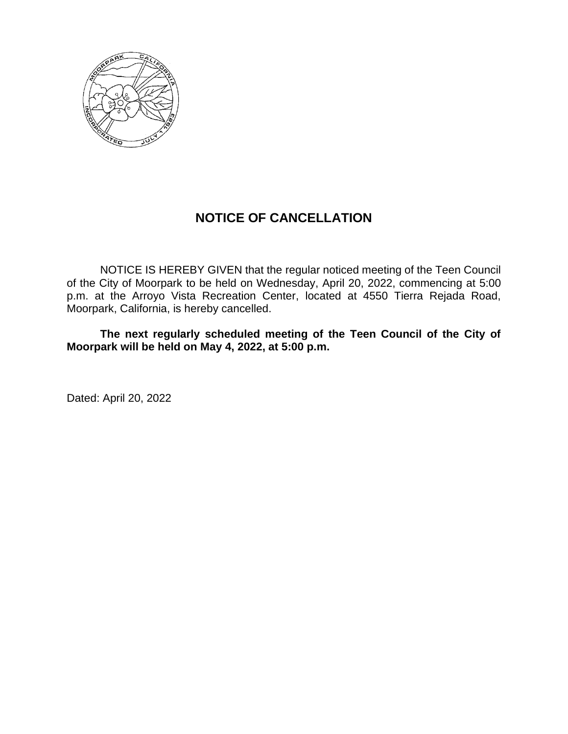

## **NOTICE OF CANCELLATION**

NOTICE IS HEREBY GIVEN that the regular noticed meeting of the Teen Council of the City of Moorpark to be held on Wednesday, April 20, 2022, commencing at 5:00 p.m. at the Arroyo Vista Recreation Center, located at 4550 Tierra Rejada Road, Moorpark, California, is hereby cancelled.

**The next regularly scheduled meeting of the Teen Council of the City of Moorpark will be held on May 4, 2022, at 5:00 p.m.**

Dated: April 20, 2022